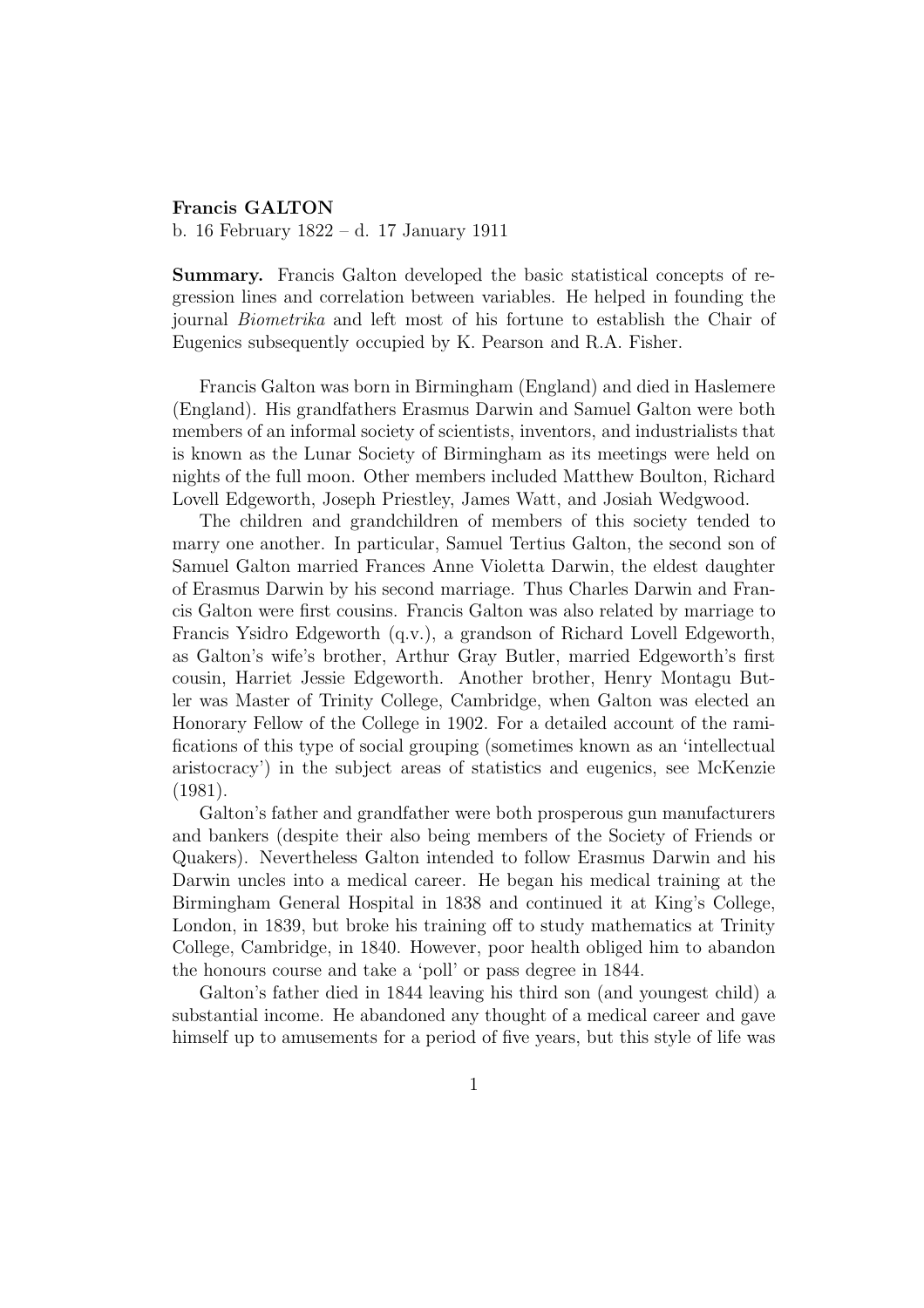## Francis GALTON

b. 16 February 1822 – d. 17 January 1911

Summary. Francis Galton developed the basic statistical concepts of regression lines and correlation between variables. He helped in founding the journal *Biometrika* and left most of his fortune to establish the Chair of Eugenics subsequently occupied by K. Pearson and R.A. Fisher.

Francis Galton was born in Birmingham (England) and died in Haslemere (England). His grandfathers Erasmus Darwin and Samuel Galton were both members of an informal society of scientists, inventors, and industrialists that is known as the Lunar Society of Birmingham as its meetings were held on nights of the full moon. Other members included Matthew Boulton, Richard Lovell Edgeworth, Joseph Priestley, James Watt, and Josiah Wedgwood.

The children and grandchildren of members of this society tended to marry one another. In particular, Samuel Tertius Galton, the second son of Samuel Galton married Frances Anne Violetta Darwin, the eldest daughter of Erasmus Darwin by his second marriage. Thus Charles Darwin and Francis Galton were first cousins. Francis Galton was also related by marriage to Francis Ysidro Edgeworth (q.v.), a grandson of Richard Lovell Edgeworth, as Galton's wife's brother, Arthur Gray Butler, married Edgeworth's first cousin, Harriet Jessie Edgeworth. Another brother, Henry Montagu Butler was Master of Trinity College, Cambridge, when Galton was elected an Honorary Fellow of the College in 1902. For a detailed account of the ramifications of this type of social grouping (sometimes known as an 'intellectual aristocracy') in the subject areas of statistics and eugenics, see McKenzie (1981).

Galton's father and grandfather were both prosperous gun manufacturers and bankers (despite their also being members of the Society of Friends or Quakers). Nevertheless Galton intended to follow Erasmus Darwin and his Darwin uncles into a medical career. He began his medical training at the Birmingham General Hospital in 1838 and continued it at King's College, London, in 1839, but broke his training off to study mathematics at Trinity College, Cambridge, in 1840. However, poor health obliged him to abandon the honours course and take a 'poll' or pass degree in 1844.

Galton's father died in 1844 leaving his third son (and youngest child) a substantial income. He abandoned any thought of a medical career and gave himself up to amusements for a period of five years, but this style of life was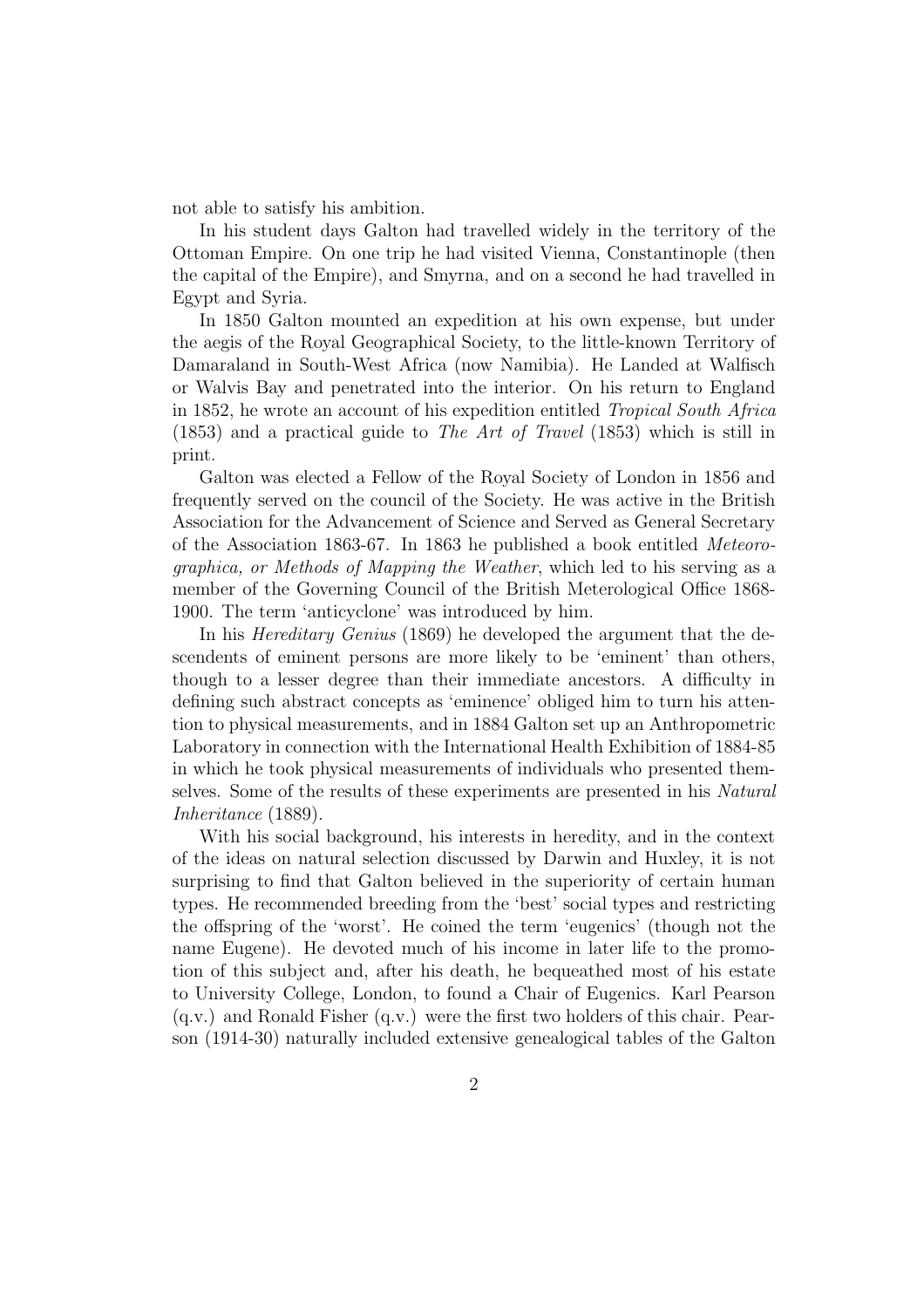not able to satisfy his ambition.

In his student days Galton had travelled widely in the territory of the Ottoman Empire. On one trip he had visited Vienna, Constantinople (then the capital of the Empire), and Smyrna, and on a second he had travelled in Egypt and Syria.

In 1850 Galton mounted an expedition at his own expense, but under the aegis of the Royal Geographical Society, to the little-known Territory of Damaraland in South-West Africa (now Namibia). He Landed at Walfisch or Walvis Bay and penetrated into the interior. On his return to England in 1852, he wrote an account of his expedition entitled *Tropical South Africa* (1853) and a practical guide to *The Art of Travel* (1853) which is still in print.

Galton was elected a Fellow of the Royal Society of London in 1856 and frequently served on the council of the Society. He was active in the British Association for the Advancement of Science and Served as General Secretary of the Association 1863-67. In 1863 he published a book entitled *Meteorographica, or Methods of Mapping the Weather*, which led to his serving as a member of the Governing Council of the British Meterological Office 1868- 1900. The term 'anticyclone' was introduced by him.

In his *Hereditary Genius* (1869) he developed the argument that the descendents of eminent persons are more likely to be 'eminent' than others, though to a lesser degree than their immediate ancestors. A difficulty in defining such abstract concepts as 'eminence' obliged him to turn his attention to physical measurements, and in 1884 Galton set up an Anthropometric Laboratory in connection with the International Health Exhibition of 1884-85 in which he took physical measurements of individuals who presented themselves. Some of the results of these experiments are presented in his *Natural Inheritance* (1889).

With his social background, his interests in heredity, and in the context of the ideas on natural selection discussed by Darwin and Huxley, it is not surprising to find that Galton believed in the superiority of certain human types. He recommended breeding from the 'best' social types and restricting the offspring of the 'worst'. He coined the term 'eugenics' (though not the name Eugene). He devoted much of his income in later life to the promotion of this subject and, after his death, he bequeathed most of his estate to University College, London, to found a Chair of Eugenics. Karl Pearson (q.v.) and Ronald Fisher (q.v.) were the first two holders of this chair. Pearson (1914-30) naturally included extensive genealogical tables of the Galton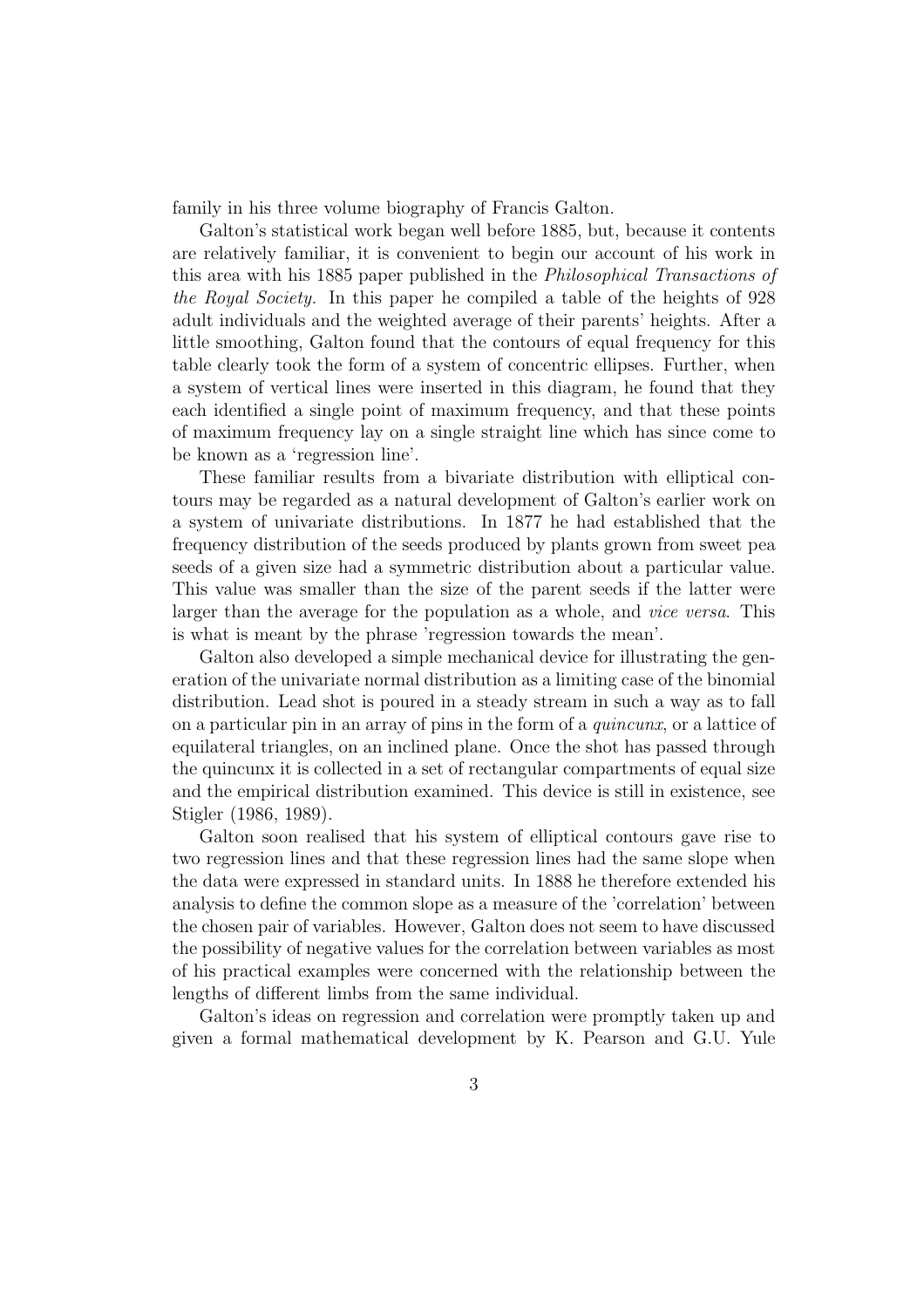family in his three volume biography of Francis Galton.

Galton's statistical work began well before 1885, but, because it contents are relatively familiar, it is convenient to begin our account of his work in this area with his 1885 paper published in the *Philosophical Transactions of the Royal Society.* In this paper he compiled a table of the heights of 928 adult individuals and the weighted average of their parents' heights. After a little smoothing, Galton found that the contours of equal frequency for this table clearly took the form of a system of concentric ellipses. Further, when a system of vertical lines were inserted in this diagram, he found that they each identified a single point of maximum frequency, and that these points of maximum frequency lay on a single straight line which has since come to be known as a 'regression line'.

These familiar results from a bivariate distribution with elliptical contours may be regarded as a natural development of Galton's earlier work on a system of univariate distributions. In 1877 he had established that the frequency distribution of the seeds produced by plants grown from sweet pea seeds of a given size had a symmetric distribution about a particular value. This value was smaller than the size of the parent seeds if the latter were larger than the average for the population as a whole, and *vice versa*. This is what is meant by the phrase 'regression towards the mean'.

Galton also developed a simple mechanical device for illustrating the generation of the univariate normal distribution as a limiting case of the binomial distribution. Lead shot is poured in a steady stream in such a way as to fall on a particular pin in an array of pins in the form of a *quincunx*, or a lattice of equilateral triangles, on an inclined plane. Once the shot has passed through the quincunx it is collected in a set of rectangular compartments of equal size and the empirical distribution examined. This device is still in existence, see Stigler (1986, 1989).

Galton soon realised that his system of elliptical contours gave rise to two regression lines and that these regression lines had the same slope when the data were expressed in standard units. In 1888 he therefore extended his analysis to define the common slope as a measure of the 'correlation' between the chosen pair of variables. However, Galton does not seem to have discussed the possibility of negative values for the correlation between variables as most of his practical examples were concerned with the relationship between the lengths of different limbs from the same individual.

Galton's ideas on regression and correlation were promptly taken up and given a formal mathematical development by K. Pearson and G.U. Yule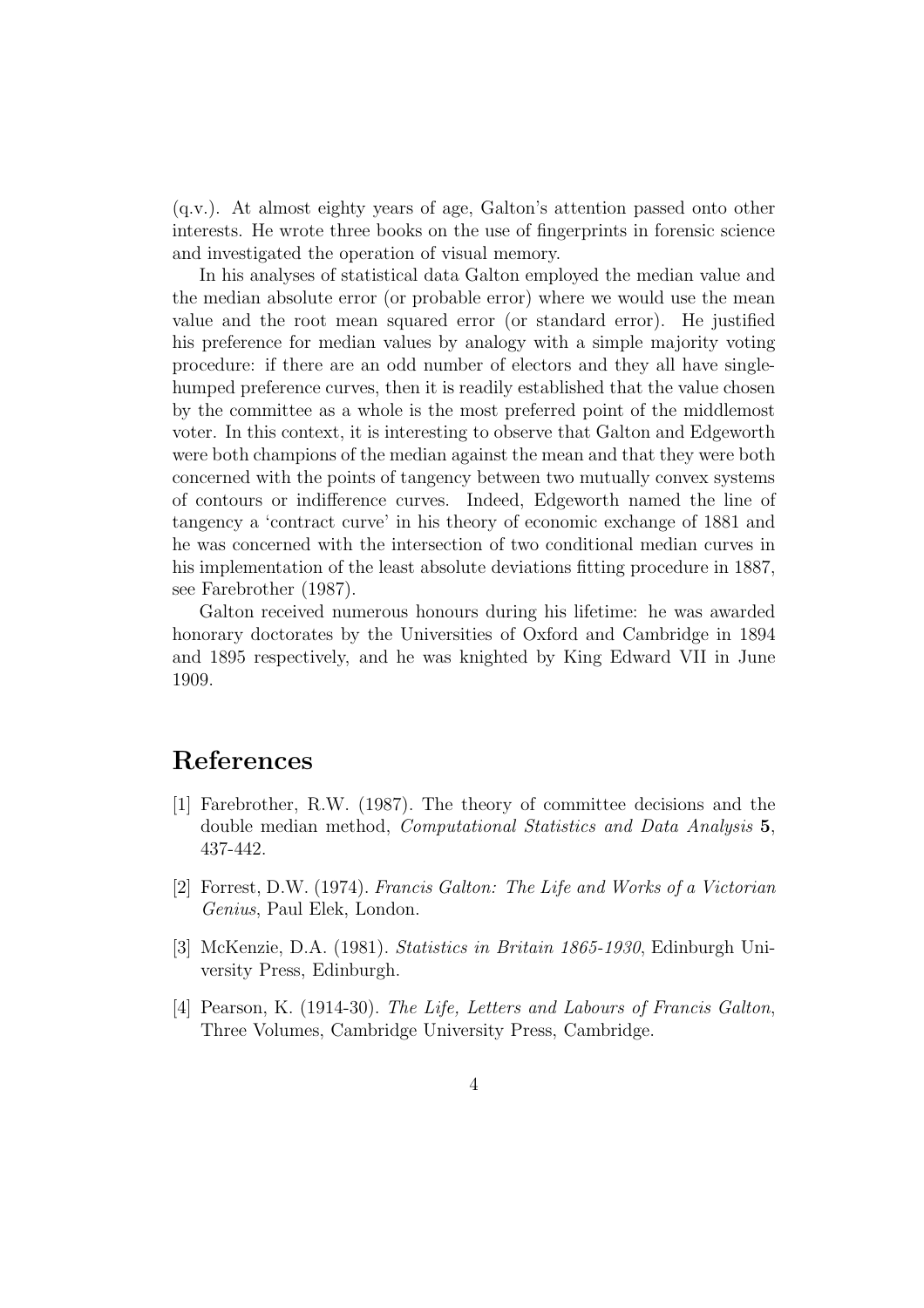(q.v.). At almost eighty years of age, Galton's attention passed onto other interests. He wrote three books on the use of fingerprints in forensic science and investigated the operation of visual memory.

In his analyses of statistical data Galton employed the median value and the median absolute error (or probable error) where we would use the mean value and the root mean squared error (or standard error). He justified his preference for median values by analogy with a simple majority voting procedure: if there are an odd number of electors and they all have singlehumped preference curves, then it is readily established that the value chosen by the committee as a whole is the most preferred point of the middlemost voter. In this context, it is interesting to observe that Galton and Edgeworth were both champions of the median against the mean and that they were both concerned with the points of tangency between two mutually convex systems of contours or indifference curves. Indeed, Edgeworth named the line of tangency a 'contract curve' in his theory of economic exchange of 1881 and he was concerned with the intersection of two conditional median curves in his implementation of the least absolute deviations fitting procedure in 1887, see Farebrother (1987).

Galton received numerous honours during his lifetime: he was awarded honorary doctorates by the Universities of Oxford and Cambridge in 1894 and 1895 respectively, and he was knighted by King Edward VII in June 1909.

## References

- [1] Farebrother, R.W. (1987). The theory of committee decisions and the double median method, *Computational Statistics and Data Analysis* 5, 437-442.
- [2] Forrest, D.W. (1974). *Francis Galton: The Life and Works of a Victorian Genius*, Paul Elek, London.
- [3] McKenzie, D.A. (1981). *Statistics in Britain 1865-1930*, Edinburgh University Press, Edinburgh.
- [4] Pearson, K. (1914-30). *The Life, Letters and Labours of Francis Galton*, Three Volumes, Cambridge University Press, Cambridge.